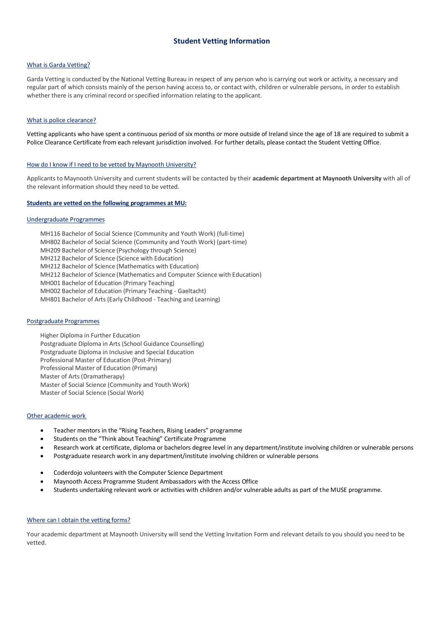# **Student Vetting Information**

# What is Garda Vetting?

Garda Vetting is conducted by the National Vetting Bureau in respect of any person who is carrying out work or activity, a necessary and regular part of which consists mainly of the person having access to, or contact with, children or vulnerable persons, in order to establish whether there is any criminal record or specified information relating to the applicant.

#### What is police clearance?

Vetting applicants who have spent a continuous period of six months or more outside of Ireland since the age of 18 are required to submit a Police Clearance Certificate from each relevant jurisdiction involved. For further details, please contact th[e Student Vetting Office.](http://www.maynoothuniversity.ie/student-vetting-office)

### How do I know if I need to be vetted by Maynooth University?

Applicants to Maynooth University and current students will be contacted by their **academic department at Maynooth University** with all of the relevant information should they need to be vetted.

#### **Students are vetted on the following programmes at MU:**

#### Undergraduate Programmes

MH116 Bachelor of Social Science (Community and Youth Work) (full-time) MH802 Bachelor of Social Science (Community and Youth Work) (part-time) MH209 Bachelor of Science (Psychology through Science) MH212 Bachelor of Science (Science with Education) MH212 Bachelor of Science (Mathematics with Education) MH212 Bachelor of Science (Mathematics and Computer Science with Education) MH001 Bachelor of Education (Primary Teaching)

MH002 Bachelor of Education (Primary Teaching - Gaeltacht)

MH801 Bachelor of Arts (Early Childhood - Teaching and Learning)

# Postgraduate Programmes

Higher Diploma in Further Education Postgraduate Diploma in Arts (School Guidance Counselling) Postgraduate Diploma in Inclusive and Special Education Professional Master of Education (Post-Primary) Professional Master of Education (Primary) Master of Arts (Dramatherapy) Master of Social Science (Community and Youth Work) Master of Social Science (Social Work)

#### Other academic work

- Teacher mentors in the "Rising Teachers, Rising Leaders" programme
- Students on the "Think about Teaching" Certificate Programme
- Research work at certificate, diploma or bachelors degree level in any department/institute involving children or vulnerable persons
- Postgraduate research work in any department/institute involving children or vulnerable persons
- Coderdojo volunteers with the Computer Science Department
- Maynooth Access Programme Student Ambassadors with the Access Office
- Students undertaking relevant work or activities with children and/or vulnerable adults as part of the MUSE programme.

#### Where can I obtain the vetting forms?

Your academic department at Maynooth University will send the Vetting Invitation Form and relevant details to you should you need to be vetted.